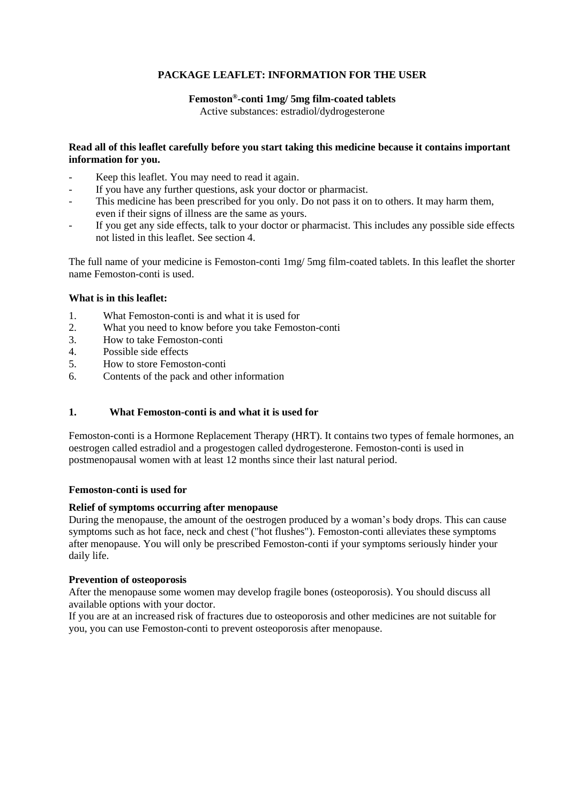# **PACKAGE LEAFLET: INFORMATION FOR THE USER**

### **Femoston® -conti 1mg/ 5mg film-coated tablets**

Active substances: estradiol/dydrogesterone

## **Read all of this leaflet carefully before you start taking this medicine because it contains important information for you.**

- Keep this leaflet. You may need to read it again.
- If you have any further questions, ask your doctor or pharmacist.
- This medicine has been prescribed for you only. Do not pass it on to others. It may harm them, even if their signs of illness are the same as yours.
- If you get any side effects, talk to your doctor or pharmacist. This includes any possible side effects not listed in this leaflet. See section 4.

The full name of your medicine is Femoston-conti 1mg/ 5mg film-coated tablets. In this leaflet the shorter name Femoston-conti is used.

## **What is in this leaflet:**

- 1. What Femoston-conti is and what it is used for
- 2. What you need to know before you take Femoston-conti
- 3. How to take Femoston-conti
- 4. Possible side effects
- 5. How to store Femoston-conti
- 6. Contents of the pack and other information

### **1. What Femoston-conti is and what it is used for**

Femoston-conti is a Hormone Replacement Therapy (HRT). It contains two types of female hormones, an oestrogen called estradiol and a progestogen called dydrogesterone. Femoston-conti is used in postmenopausal women with at least 12 months since their last natural period.

### **Femoston-conti is used for**

### **Relief of symptoms occurring after menopause**

During the menopause, the amount of the oestrogen produced by a woman's body drops. This can cause symptoms such as hot face, neck and chest ("hot flushes"). Femoston-conti alleviates these symptoms after menopause. You will only be prescribed Femoston-conti if your symptoms seriously hinder your daily life.

### **Prevention of osteoporosis**

After the menopause some women may develop fragile bones (osteoporosis). You should discuss all available options with your doctor.

If you are at an increased risk of fractures due to osteoporosis and other medicines are not suitable for you, you can use Femoston-conti to prevent osteoporosis after menopause.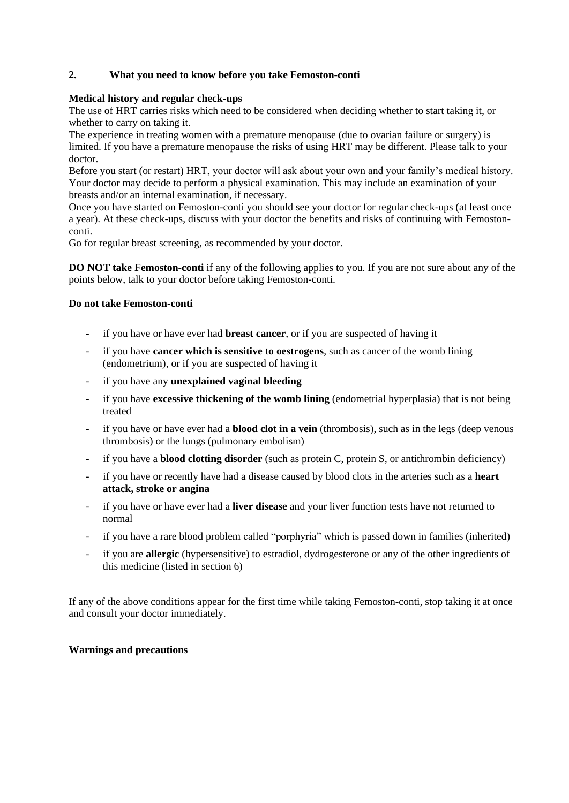# **2. What you need to know before you take Femoston-conti**

#### **Medical history and regular check-ups**

The use of HRT carries risks which need to be considered when deciding whether to start taking it, or whether to carry on taking it.

The experience in treating women with a premature menopause (due to ovarian failure or surgery) is limited. If you have a premature menopause the risks of using HRT may be different. Please talk to your doctor.

Before you start (or restart) HRT, your doctor will ask about your own and your family's medical history. Your doctor may decide to perform a physical examination. This may include an examination of your breasts and/or an internal examination, if necessary.

Once you have started on Femoston-conti you should see your doctor for regular check-ups (at least once a year). At these check-ups, discuss with your doctor the benefits and risks of continuing with Femostonconti.

Go for regular breast screening, as recommended by your doctor.

**DO NOT take Femoston-conti** if any of the following applies to you. If you are not sure about any of the points below, talk to your doctor before taking Femoston-conti.

#### **Do not take Femoston-conti**

- if you have or have ever had **breast cancer**, or if you are suspected of having it
- if you have **cancer which is sensitive to oestrogens**, such as cancer of the womb lining (endometrium), or if you are suspected of having it
- if you have any **unexplained vaginal bleeding**
- if you have **excessive thickening of the womb lining** (endometrial hyperplasia) that is not being treated
- if you have or have ever had a **blood clot in a vein** (thrombosis), such as in the legs (deep venous thrombosis) or the lungs (pulmonary embolism)
- if you have a **blood clotting disorder** (such as protein C, protein S, or antithrombin deficiency)
- if you have or recently have had a disease caused by blood clots in the arteries such as a **heart attack, stroke or angina**
- if you have or have ever had a **liver disease** and your liver function tests have not returned to normal
- if you have a rare blood problem called "porphyria" which is passed down in families (inherited)
- if you are **allergic** (hypersensitive) to estradiol, dydrogesterone or any of the other ingredients of this medicine (listed in section 6)

If any of the above conditions appear for the first time while taking Femoston-conti, stop taking it at once and consult your doctor immediately.

### **Warnings and precautions**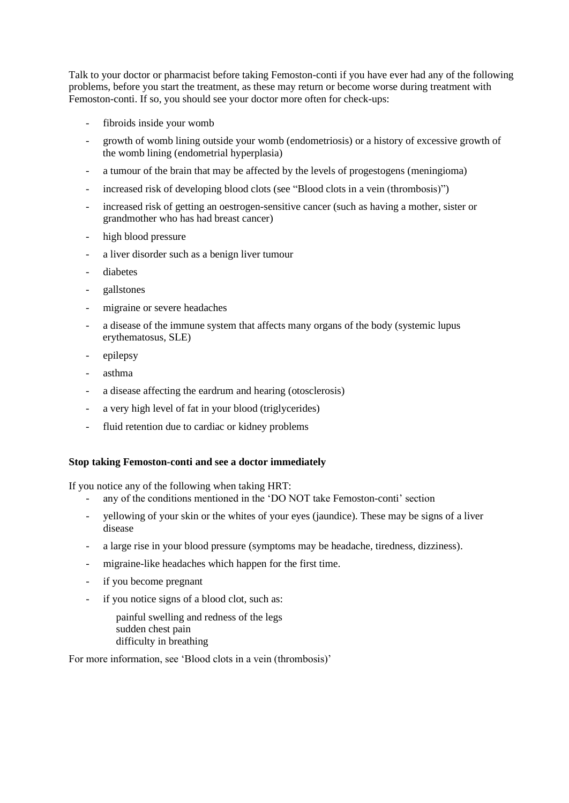Talk to your doctor or pharmacist before taking Femoston-conti if you have ever had any of the following problems, before you start the treatment, as these may return or become worse during treatment with Femoston-conti. If so, you should see your doctor more often for check-ups:

- fibroids inside your womb
- growth of womb lining outside your womb (endometriosis) or a history of excessive growth of the womb lining (endometrial hyperplasia)
- a tumour of the brain that may be affected by the levels of progestogens (meningioma)
- increased risk of developing blood clots (see "Blood clots in a vein (thrombosis)")
- increased risk of getting an oestrogen-sensitive cancer (such as having a mother, sister or grandmother who has had breast cancer)
- high blood pressure
- a liver disorder such as a benign liver tumour
- diabetes
- gallstones
- migraine or severe headaches
- a disease of the immune system that affects many organs of the body (systemic lupus erythematosus, SLE)
- epilepsy
- asthma
- a disease affecting the eardrum and hearing (otosclerosis)
- a very high level of fat in your blood (triglycerides)
- fluid retention due to cardiac or kidney problems

### **Stop taking Femoston-conti and see a doctor immediately**

If you notice any of the following when taking HRT:

- any of the conditions mentioned in the 'DO NOT take Femoston-conti' section
- yellowing of your skin or the whites of your eyes (jaundice). These may be signs of a liver disease
- a large rise in your blood pressure (symptoms may be headache, tiredness, dizziness).
- migraine-like headaches which happen for the first time.
- if you become pregnant
- if you notice signs of a blood clot, such as:

painful swelling and redness of the legs sudden chest pain difficulty in breathing

For more information, see 'Blood clots in a vein (thrombosis)'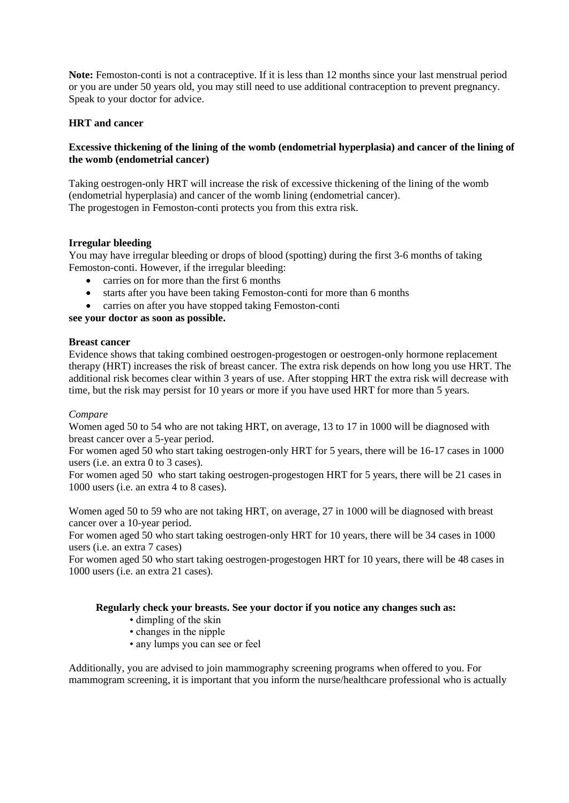**Note:** Femoston-conti is not a contraceptive. If it is less than 12 months since your last menstrual period or you are under 50 years old, you may still need to use additional contraception to prevent pregnancy. Speak to your doctor for advice.

## **HRT and cancer**

## **Excessive thickening of the lining of the womb (endometrial hyperplasia) and cancer of the lining of the womb (endometrial cancer)**

Taking oestrogen-only HRT will increase the risk of excessive thickening of the lining of the womb (endometrial hyperplasia) and cancer of the womb lining (endometrial cancer). The progestogen in Femoston-conti protects you from this extra risk.

## **Irregular bleeding**

You may have irregular bleeding or drops of blood (spotting) during the first 3-6 months of taking Femoston-conti. However, if the irregular bleeding:

- carries on for more than the first 6 months
- starts after you have been taking Femoston-conti for more than 6 months
- carries on after you have stopped taking Femoston-conti

**see your doctor as soon as possible.**

### **Breast cancer**

Evidence shows that taking combined oestrogen-progestogen or oestrogen-only hormone replacement therapy (HRT) increases the risk of breast cancer. The extra risk depends on how long you use HRT. The additional risk becomes clear within 3 years of use. After stopping HRT the extra risk will decrease with time, but the risk may persist for 10 years or more if you have used HRT for more than 5 years.

### *Compare*

Women aged 50 to 54 who are not taking HRT, on average, 13 to 17 in 1000 will be diagnosed with breast cancer over a 5-year period.

For women aged 50 who start taking oestrogen-only HRT for 5 years, there will be 16-17 cases in 1000 users (i.e. an extra 0 to 3 cases).

For women aged 50 who start taking oestrogen-progestogen HRT for 5 years, there will be 21 cases in 1000 users (i.e. an extra 4 to 8 cases).

Women aged 50 to 59 who are not taking HRT, on average, 27 in 1000 will be diagnosed with breast cancer over a 10-year period.

For women aged 50 who start taking oestrogen-only HRT for 10 years, there will be 34 cases in 1000 users (i.e. an extra 7 cases)

For women aged 50 who start taking oestrogen-progestogen HRT for 10 years, there will be 48 cases in 1000 users (i.e. an extra 21 cases).

### **Regularly check your breasts. See your doctor if you notice any changes such as:**

- dimpling of the skin
- changes in the nipple
- any lumps you can see or feel

Additionally, you are advised to join mammography screening programs when offered to you. For mammogram screening, it is important that you inform the nurse/healthcare professional who is actually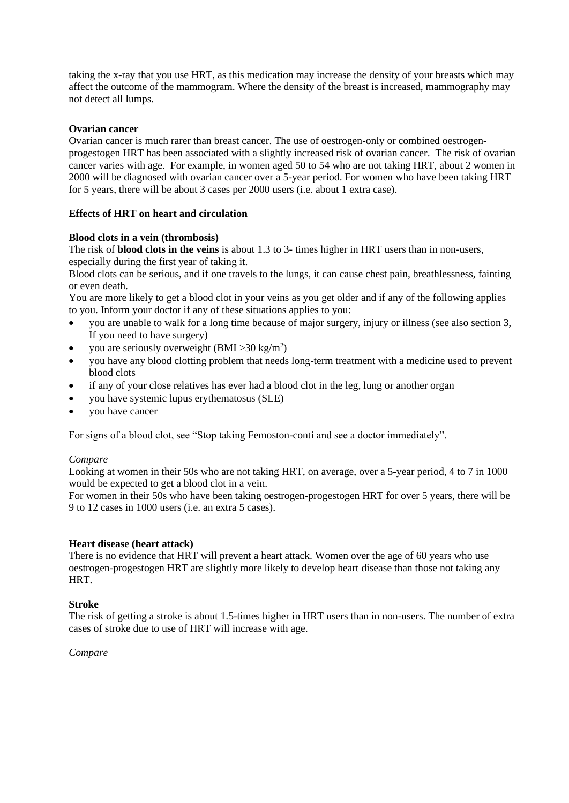taking the x-ray that you use HRT, as this medication may increase the density of your breasts which may affect the outcome of the mammogram. Where the density of the breast is increased, mammography may not detect all lumps.

## **Ovarian cancer**

Ovarian cancer is much rarer than breast cancer. The use of oestrogen-only or combined oestrogenprogestogen HRT has been associated with a slightly increased risk of ovarian cancer. The risk of ovarian cancer varies with age. For example, in women aged 50 to 54 who are not taking HRT, about 2 women in 2000 will be diagnosed with ovarian cancer over a 5-year period. For women who have been taking HRT for 5 years, there will be about 3 cases per 2000 users (i.e. about 1 extra case).

## **Effects of HRT on heart and circulation**

## **Blood clots in a vein (thrombosis)**

The risk of **blood clots in the veins** is about 1.3 to 3- times higher in HRT users than in non-users, especially during the first year of taking it.

Blood clots can be serious, and if one travels to the lungs, it can cause chest pain, breathlessness, fainting or even death.

You are more likely to get a blood clot in your veins as you get older and if any of the following applies to you. Inform your doctor if any of these situations applies to you:

- you are unable to walk for a long time because of major surgery, injury or illness (see also section 3, If you need to have surgery)
- you are seriously overweight  $(BMI > 30 \text{ kg/m}^2)$
- you have any blood clotting problem that needs long-term treatment with a medicine used to prevent blood clots
- if any of your close relatives has ever had a blood clot in the leg, lung or another organ
- you have systemic lupus erythematosus (SLE)
- you have cancer

For signs of a blood clot, see "Stop taking Femoston-conti and see a doctor immediately".

### *Compare*

Looking at women in their 50s who are not taking HRT, on average, over a 5-year period, 4 to 7 in 1000 would be expected to get a blood clot in a vein.

For women in their 50s who have been taking oestrogen-progestogen HRT for over 5 years, there will be 9 to 12 cases in 1000 users (i.e. an extra 5 cases).

### **Heart disease (heart attack)**

There is no evidence that HRT will prevent a heart attack. Women over the age of 60 years who use oestrogen-progestogen HRT are slightly more likely to develop heart disease than those not taking any HRT.

### **Stroke**

The risk of getting a stroke is about 1.5-times higher in HRT users than in non-users. The number of extra cases of stroke due to use of HRT will increase with age.

*Compare*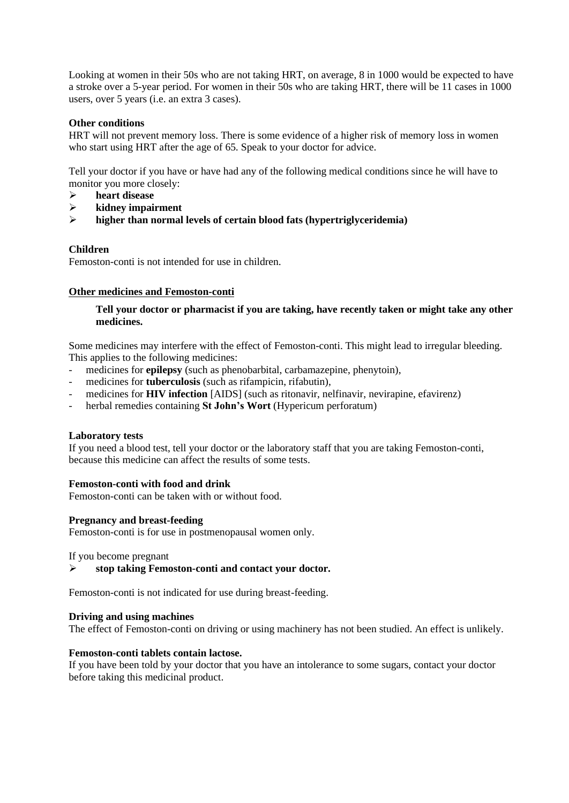Looking at women in their 50s who are not taking HRT, on average, 8 in 1000 would be expected to have a stroke over a 5-year period. For women in their 50s who are taking HRT, there will be 11 cases in 1000 users, over 5 years (i.e. an extra 3 cases).

## **Other conditions**

HRT will not prevent memory loss. There is some evidence of a higher risk of memory loss in women who start using HRT after the age of 65. Speak to your doctor for advice.

Tell your doctor if you have or have had any of the following medical conditions since he will have to monitor you more closely:

- ➢ **heart disease**
- ➢ **kidney impairment**
- ➢ **higher than normal levels of certain blood fats (hypertriglyceridemia)**

## **Children**

Femoston-conti is not intended for use in children.

#### **Other medicines and Femoston-conti**

### **Tell your doctor or pharmacist if you are taking, have recently taken or might take any other medicines.**

Some medicines may interfere with the effect of Femoston-conti. This might lead to irregular bleeding. This applies to the following medicines:

- medicines for **epilepsy** (such as phenobarbital, carbamazepine, phenytoin),
- medicines for **tuberculosis** (such as rifampicin, rifabutin),
- medicines for **HIV infection** [AIDS] (such as ritonavir, nelfinavir, nevirapine, efavirenz)
- herbal remedies containing **St John's Wort** (Hypericum perforatum)

### **Laboratory tests**

If you need a blood test, tell your doctor or the laboratory staff that you are taking Femoston-conti, because this medicine can affect the results of some tests.

#### **Femoston-conti with food and drink**

Femoston-conti can be taken with or without food.

### **Pregnancy and breast-feeding**

Femoston-conti is for use in postmenopausal women only.

If you become pregnant

➢ **stop taking Femoston-conti and contact your doctor.**

Femoston-conti is not indicated for use during breast-feeding.

#### **Driving and using machines**

The effect of Femoston-conti on driving or using machinery has not been studied. An effect is unlikely.

## **Femoston-conti tablets contain lactose.**

If you have been told by your doctor that you have an intolerance to some sugars, contact your doctor before taking this medicinal product.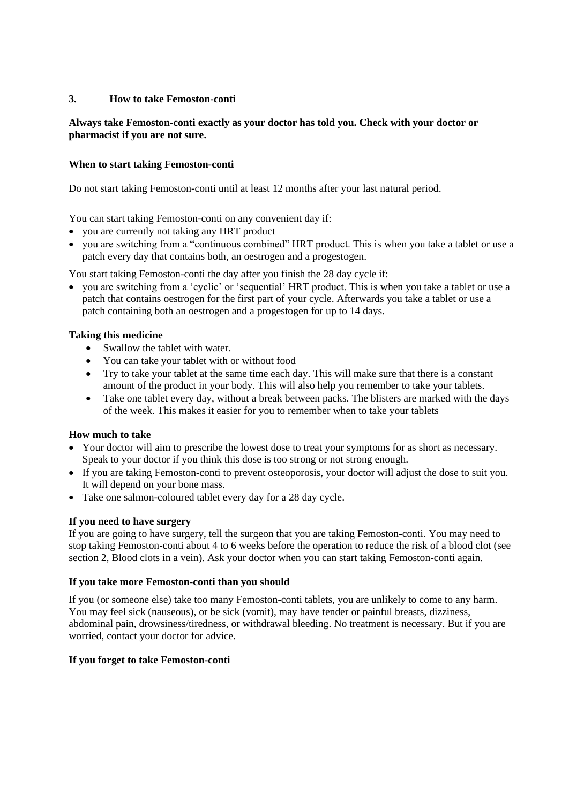## **3. How to take Femoston-conti**

## **Always take Femoston-conti exactly as your doctor has told you. Check with your doctor or pharmacist if you are not sure.**

## **When to start taking Femoston-conti**

Do not start taking Femoston-conti until at least 12 months after your last natural period.

You can start taking Femoston-conti on any convenient day if:

- you are currently not taking any HRT product
- you are switching from a "continuous combined" HRT product. This is when you take a tablet or use a patch every day that contains both, an oestrogen and a progestogen.

You start taking Femoston-conti the day after you finish the 28 day cycle if:

• you are switching from a 'cyclic' or 'sequential' HRT product. This is when you take a tablet or use a patch that contains oestrogen for the first part of your cycle. Afterwards you take a tablet or use a patch containing both an oestrogen and a progestogen for up to 14 days.

## **Taking this medicine**

- Swallow the tablet with water.
- You can take your tablet with or without food
- Try to take your tablet at the same time each day. This will make sure that there is a constant amount of the product in your body. This will also help you remember to take your tablets.
- Take one tablet every day, without a break between packs. The blisters are marked with the days of the week. This makes it easier for you to remember when to take your tablets

## **How much to take**

- Your doctor will aim to prescribe the lowest dose to treat your symptoms for as short as necessary. Speak to your doctor if you think this dose is too strong or not strong enough.
- If you are taking Femoston-conti to prevent osteoporosis, your doctor will adjust the dose to suit you. It will depend on your bone mass.
- Take one salmon-coloured tablet every day for a 28 day cycle.

### **If you need to have surgery**

If you are going to have surgery, tell the surgeon that you are taking Femoston-conti. You may need to stop taking Femoston-conti about 4 to 6 weeks before the operation to reduce the risk of a blood clot (see section 2, Blood clots in a vein). Ask your doctor when you can start taking Femoston-conti again.

### **If you take more Femoston-conti than you should**

If you (or someone else) take too many Femoston-conti tablets, you are unlikely to come to any harm. You may feel sick (nauseous), or be sick (vomit), may have tender or painful breasts, dizziness, abdominal pain, drowsiness/tiredness, or withdrawal bleeding. No treatment is necessary. But if you are worried, contact your doctor for advice.

### **If you forget to take Femoston-conti**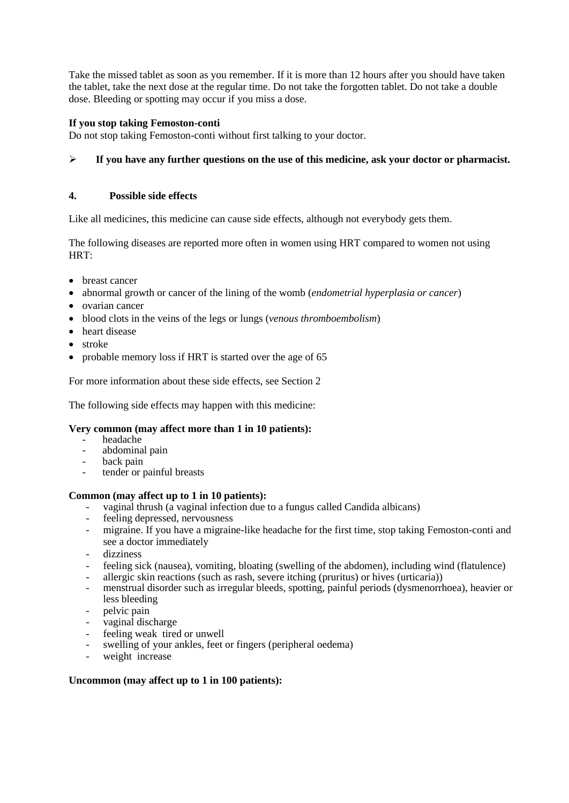Take the missed tablet as soon as you remember. If it is more than 12 hours after you should have taken the tablet, take the next dose at the regular time. Do not take the forgotten tablet. Do not take a double dose. Bleeding or spotting may occur if you miss a dose.

# **If you stop taking Femoston-conti**

Do not stop taking Femoston-conti without first talking to your doctor.

# ➢ **If you have any further questions on the use of this medicine, ask your doctor or pharmacist.**

## **4. Possible side effects**

Like all medicines, this medicine can cause side effects, although not everybody gets them.

The following diseases are reported more often in women using HRT compared to women not using HRT:

- breast cancer
- abnormal growth or cancer of the lining of the womb (*endometrial hyperplasia or cancer*)
- ovarian cancer
- blood clots in the veins of the legs or lungs (*venous thromboembolism*)
- heart disease
- stroke
- probable memory loss if HRT is started over the age of 65

For more information about these side effects, see Section 2

The following side effects may happen with this medicine:

### **Very common (may affect more than 1 in 10 patients):**

- headache
- abdominal pain
- back pain
- tender or painful breasts

# **Common (may affect up to 1 in 10 patients):**

- vaginal thrush (a vaginal infection due to a fungus called Candida albicans)<br>feeling depressed nervousness
- feeling depressed, nervousness
- migraine. If you have a migraine-like headache for the first time, stop taking Femoston-conti and see a doctor immediately
- dizziness
- feeling sick (nausea), vomiting, bloating (swelling of the abdomen), including wind (flatulence)
- allergic skin reactions (such as rash, severe itching (pruritus) or hives (urticaria))
- menstrual disorder such as irregular bleeds, spotting, painful periods (dysmenorrhoea), heavier or less bleeding
- pelvic pain
- vaginal discharge
- feeling weak tired or unwell
- swelling of your ankles, feet or fingers (peripheral oedema)
- weight increase

# **Uncommon (may affect up to 1 in 100 patients):**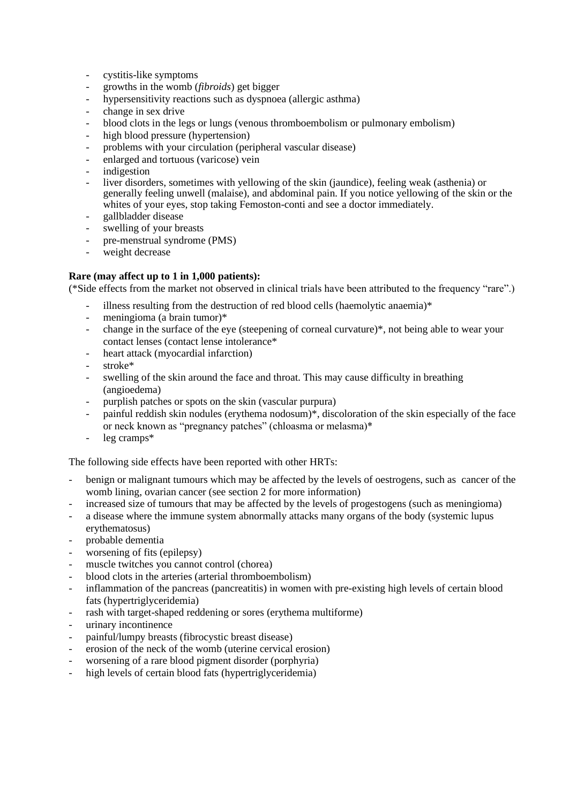- cystitis-like symptoms
- growths in the womb (*fibroids*) get bigger
- hypersensitivity reactions such as dyspnoea (allergic asthma)
- change in sex drive
- blood clots in the legs or lungs (venous thromboembolism or pulmonary embolism)
- high blood pressure (hypertension)
- problems with your circulation (peripheral vascular disease)
- enlarged and tortuous (varicose) vein
- indigestion
- liver disorders, sometimes with yellowing of the skin (jaundice), feeling weak (asthenia) or generally feeling unwell (malaise), and abdominal pain. If you notice yellowing of the skin or the whites of your eyes, stop taking Femoston-conti and see a doctor immediately.
- gallbladder disease
- swelling of your breasts
- pre-menstrual syndrome (PMS)
- weight decrease

## **Rare (may affect up to 1 in 1,000 patients):**

(\*Side effects from the market not observed in clinical trials have been attributed to the frequency "rare".)

- illness resulting from the destruction of red blood cells (haemolytic anaemia)\*
- meningioma (a brain tumor)\*
- change in the surface of the eye (steepening of corneal curvature)\*, not being able to wear your contact lenses (contact lense intolerance\*
- heart attack (myocardial infarction)
- stroke\*
- swelling of the skin around the face and throat. This may cause difficulty in breathing (angioedema)
- purplish patches or spots on the skin (vascular purpura)
- painful reddish skin nodules (erythema nodosum)<sup>\*</sup>, discoloration of the skin especially of the face or neck known as "pregnancy patches" (chloasma or melasma)\*
- $leg$  cramps $*$

The following side effects have been reported with other HRTs:

- benign or malignant tumours which may be affected by the levels of oestrogens, such as cancer of the womb lining, ovarian cancer (see section 2 for more information)
- increased size of tumours that may be affected by the levels of progestogens (such as meningioma)
- a disease where the immune system abnormally attacks many organs of the body (systemic lupus erythematosus)
- probable dementia
- worsening of fits (epilepsy)
- muscle twitches you cannot control (chorea)
- blood clots in the arteries (arterial thromboembolism)
- inflammation of the pancreas (pancreatitis) in women with pre-existing high levels of certain blood fats (hypertriglyceridemia)
- rash with target-shaped reddening or sores (erythema multiforme)
- urinary incontinence
- painful/lumpy breasts (fibrocystic breast disease)
- erosion of the neck of the womb (uterine cervical erosion)
- worsening of a rare blood pigment disorder (porphyria)
- high levels of certain blood fats (hypertriglyceridemia)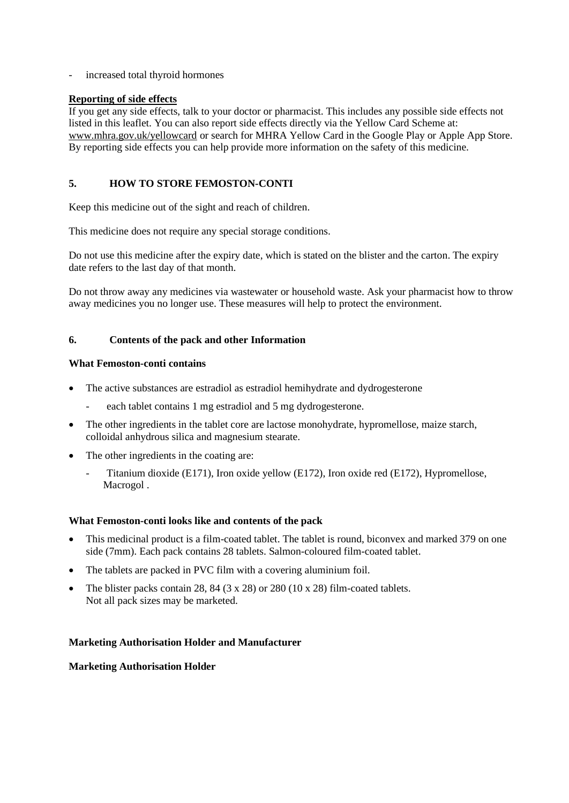- increased total thyroid hormones

## **Reporting of side effects**

If you get any side effects, talk to your doctor or pharmacist. This includes any possible side effects not listed in this leaflet. You can also report side effects directly via the Yellow Card Scheme at: www.mhra.gov.uk/yellowcard or search for MHRA Yellow Card in the Google Play or Apple App Store. By reporting side effects you can help provide more information on the safety of this medicine.

# **5. HOW TO STORE FEMOSTON-CONTI**

Keep this medicine out of the sight and reach of children.

This medicine does not require any special storage conditions.

Do not use this medicine after the expiry date, which is stated on the blister and the carton. The expiry date refers to the last day of that month.

Do not throw away any medicines via wastewater or household waste. Ask your pharmacist how to throw away medicines you no longer use. These measures will help to protect the environment.

# **6. Contents of the pack and other Information**

## **What Femoston-conti contains**

- The active substances are estradiol as estradiol hemihydrate and dydrogesterone
	- each tablet contains 1 mg estradiol and 5 mg dydrogesterone.
- The other ingredients in the tablet core are lactose monohydrate, hypromellose, maize starch, colloidal anhydrous silica and magnesium stearate.
- The other ingredients in the coating are:
	- Titanium dioxide (E171), Iron oxide yellow (E172), Iron oxide red (E172), Hypromellose, Macrogol .

### **What Femoston-conti looks like and contents of the pack**

- This medicinal product is a film-coated tablet. The tablet is round, biconvex and marked 379 on one side (7mm). Each pack contains 28 tablets. Salmon-coloured film-coated tablet.
- The tablets are packed in PVC film with a covering aluminium foil.
- The blister packs contain 28, 84 (3 x 28) or 280 (10 x 28) film-coated tablets. Not all pack sizes may be marketed.

### **Marketing Authorisation Holder and Manufacturer**

# **Marketing Authorisation Holder**